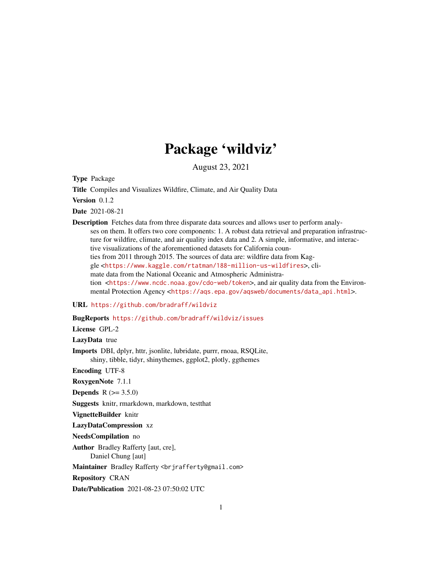## Package 'wildviz'

August 23, 2021

Type Package

Title Compiles and Visualizes Wildfire, Climate, and Air Quality Data

Version 0.1.2

Date 2021-08-21

Description Fetches data from three disparate data sources and allows user to perform analyses on them. It offers two core components: 1. A robust data retrieval and preparation infrastructure for wildfire, climate, and air quality index data and 2. A simple, informative, and interactive visualizations of the aforementioned datasets for California counties from 2011 through 2015. The sources of data are: wildfire data from Kaggle <<https://www.kaggle.com/rtatman/188-million-us-wildfires>>, climate data from the National Oceanic and Atmospheric Administration <<https://www.ncdc.noaa.gov/cdo-web/token>>, and air quality data from the Environmental Protection Agency <[https://aqs.epa.gov/aqsweb/documents/data\\_api.html](https://aqs.epa.gov/aqsweb/documents/data_api.html)>.

URL <https://github.com/bradraff/wildviz>

BugReports <https://github.com/bradraff/wildviz/issues>

License GPL-2

LazyData true

Imports DBI, dplyr, httr, jsonlite, lubridate, purrr, rnoaa, RSQLite, shiny, tibble, tidyr, shinythemes, ggplot2, plotly, ggthemes

Encoding UTF-8

RoxygenNote 7.1.1

**Depends** R  $(>= 3.5.0)$ 

Suggests knitr, rmarkdown, markdown, testthat

VignetteBuilder knitr

LazyDataCompression xz

NeedsCompilation no

Author Bradley Rafferty [aut, cre], Daniel Chung [aut]

Maintainer Bradley Rafferty <br />
driafferty@gmail.com>

Repository CRAN

Date/Publication 2021-08-23 07:50:02 UTC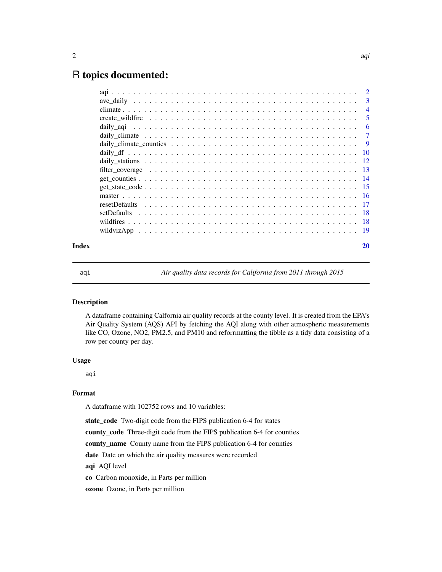### <span id="page-1-0"></span>R topics documented:

|       |                                                                                                              | $\overline{4}$ |
|-------|--------------------------------------------------------------------------------------------------------------|----------------|
|       |                                                                                                              | -5             |
|       |                                                                                                              | -6             |
|       |                                                                                                              |                |
|       |                                                                                                              |                |
|       |                                                                                                              |                |
|       |                                                                                                              |                |
|       | filter coverage $\ldots \ldots \ldots \ldots \ldots \ldots \ldots \ldots \ldots \ldots \ldots \ldots \ldots$ |                |
|       |                                                                                                              |                |
|       |                                                                                                              |                |
|       |                                                                                                              |                |
|       |                                                                                                              |                |
|       |                                                                                                              |                |
|       |                                                                                                              |                |
|       |                                                                                                              |                |
| Index |                                                                                                              | 20             |

aqi *Air quality data records for California from 2011 through 2015*

#### Description

A dataframe containing Calfornia air quality records at the county level. It is created from the EPA's Air Quality System (AQS) API by fetching the AQI along with other atmospheric measurements like CO, Ozone, NO2, PM2.5, and PM10 and reforrmatting the tibble as a tidy data consisting of a row per county per day.

#### Usage

aqi

#### Format

A dataframe with 102752 rows and 10 variables:

state\_code Two-digit code from the FIPS publication 6-4 for states

county\_code Three-digit code from the FIPS publication 6-4 for counties

county\_name County name from the FIPS publication 6-4 for counties

date Date on which the air quality measures were recorded

aqi AQI level

co Carbon monoxide, in Parts per million

ozone Ozone, in Parts per million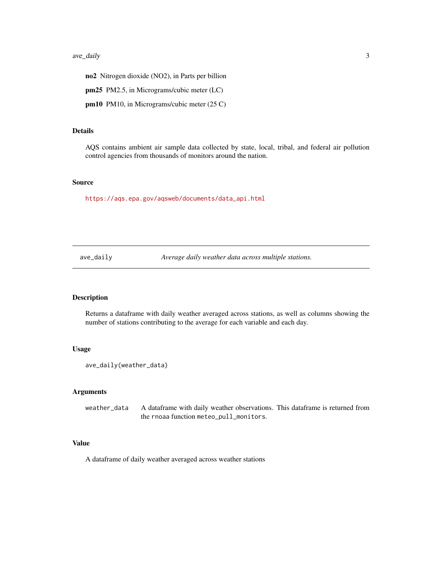#### <span id="page-2-0"></span>ave\_daily 3

no2 Nitrogen dioxide (NO2), in Parts per billion

pm25 PM2.5, in Micrograms/cubic meter (LC)

pm10 PM10, in Micrograms/cubic meter (25 C)

#### Details

AQS contains ambient air sample data collected by state, local, tribal, and federal air pollution control agencies from thousands of monitors around the nation.

#### Source

[https://aqs.epa.gov/aqsweb/documents/data\\_api.html](https://aqs.epa.gov/aqsweb/documents/data_api.html)

ave\_daily *Average daily weather data across multiple stations.*

#### Description

Returns a dataframe with daily weather averaged across stations, as well as columns showing the number of stations contributing to the average for each variable and each day.

#### Usage

```
ave_daily(weather_data)
```
#### Arguments

weather\_data A dataframe with daily weather observations. This dataframe is returned from the rnoaa function meteo\_pull\_monitors.

#### Value

A dataframe of daily weather averaged across weather stations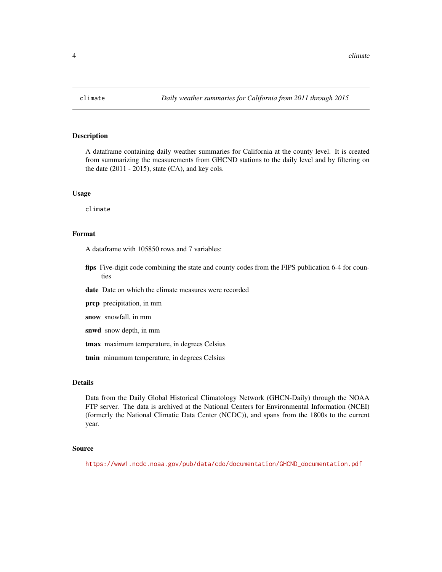<span id="page-3-0"></span>

#### Description

A dataframe containing daily weather summaries for California at the county level. It is created from summarizing the measurements from GHCND stations to the daily level and by filtering on the date  $(2011 - 2015)$ , state  $(CA)$ , and key cols.

#### Usage

climate

#### Format

A dataframe with 105850 rows and 7 variables:

fips Five-digit code combining the state and county codes from the FIPS publication 6-4 for counties

date Date on which the climate measures were recorded

- prcp precipitation, in mm
- snow snowfall, in mm
- snwd snow depth, in mm
- tmax maximum temperature, in degrees Celsius
- tmin minumum temperature, in degrees Celsius

#### Details

Data from the Daily Global Historical Climatology Network (GHCN-Daily) through the NOAA FTP server. The data is archived at the National Centers for Environmental Information (NCEI) (formerly the National Climatic Data Center (NCDC)), and spans from the 1800s to the current year.

#### Source

[https://www1.ncdc.noaa.gov/pub/data/cdo/documentation/GHCND\\_documentation.pdf](https://www1.ncdc.noaa.gov/pub/data/cdo/documentation/GHCND_documentation.pdf)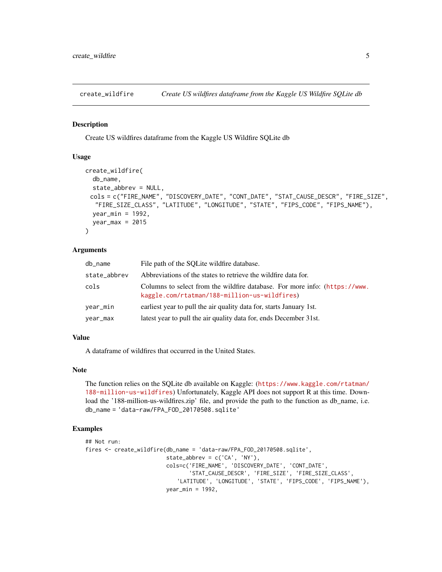<span id="page-4-0"></span>

#### Description

Create US wildfires dataframe from the Kaggle US Wildfire SQLite db

#### Usage

```
create_wildfire(
  db_name,
  state_abbrev = NULL,
 cols = c("FIRE_NAME", "DISCOVERY_DATE", "CONT_DATE", "STAT_CAUSE_DESCR", "FIRE_SIZE",
  "FIRE_SIZE_CLASS", "LATITUDE", "LONGITUDE", "STATE", "FIPS_CODE", "FIPS_NAME"),
 year_min = 1992,
 year_max = 2015)
```
#### Arguments

| db_name      | File path of the SQLite wildfire database.                                                                                 |
|--------------|----------------------------------------------------------------------------------------------------------------------------|
| state_abbrev | Abbreviations of the states to retrieve the wildfire data for.                                                             |
| cols         | Columns to select from the wildfire database. For more info: (https://www.<br>kaggle.com/rtatman/188-million-us-wildfires) |
| vear_min     | earliest year to pull the air quality data for, starts January 1st.                                                        |
| vear_max     | latest year to pull the air quality data for, ends December 31st.                                                          |

#### Value

A dataframe of wildfires that occurred in the United States.

#### Note

The function relies on the SQLite db available on Kaggle: ([https://www.kaggle.com/rtatman/](https://www.kaggle.com/rtatman/188-million-us-wildfires) [188-million-us-wildfires](https://www.kaggle.com/rtatman/188-million-us-wildfires)) Unfortunately, Kaggle API does not support R at this time. Download the '188-million-us-wildfires.zip' file, and provide the path to the function as db\_name, i.e. db\_name = 'data-raw/FPA\_FOD\_20170508.sqlite'

#### Examples

```
## Not run:
fires <- create_wildfire(db_name = 'data-raw/FPA_FOD_20170508.sqlite',
                         state_abbrev = c('CA', 'NY'),
                         cols=c('FIRE_NAME', 'DISCOVERY_DATE', 'CONT_DATE',
                                 'STAT_CAUSE_DESCR', 'FIRE_SIZE', 'FIRE_SIZE_CLASS',
                            'LATITUDE', 'LONGITUDE', 'STATE', 'FIPS_CODE', 'FIPS_NAME'),
                         year_min = 1992,
```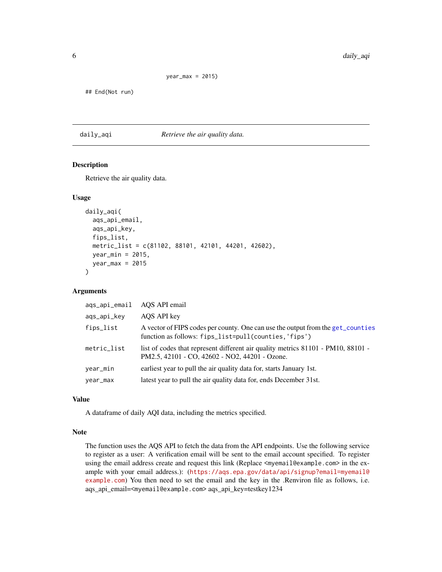```
year_max = 2015)
```
<span id="page-5-0"></span>## End(Not run)

#### daily\_aqi *Retrieve the air quality data.*

#### Description

Retrieve the air quality data.

#### Usage

```
daily_aqi(
  aqs_api_email,
  aqs_api_key,
  fips_list,
  metric_list = c(81102, 88101, 42101, 44201, 42602),
  year_min = 2015,
  year_max = 2015)
```
#### Arguments

| aqs_api_email | AQS API email                                                                                                                            |
|---------------|------------------------------------------------------------------------------------------------------------------------------------------|
| aqs_api_key   | AQS API key                                                                                                                              |
| fips_list     | A vector of FIPS codes per county. One can use the output from the get_counties<br>function as follows: fips_list=pull(counties, 'fips') |
| metric_list   | list of codes that represent different air quality metrics 81101 - PM10, 88101 -<br>PM2.5, 42101 - CO, 42602 - NO2, 44201 - Ozone.       |
| year_min      | earliest year to pull the air quality data for, starts January 1st.                                                                      |
| year_max      | latest year to pull the air quality data for, ends December 31st.                                                                        |

#### Value

A dataframe of daily AQI data, including the metrics specified.

#### Note

The function uses the AQS API to fetch the data from the API endpoints. Use the following service to register as a user: A verification email will be sent to the email account specified. To register using the email address create and request this link (Replace  $\leq m$ ) email@example.com> in the example with your email address.): ([https://aqs.epa.gov/data/api/signup?email=myemail@](https://aqs.epa.gov/data/api/signup?email=myemail@example.com) [example.com](https://aqs.epa.gov/data/api/signup?email=myemail@example.com)) You then need to set the email and the key in the .Renviron file as follows, i.e. aqs\_api\_email=<myemail@example.com> aqs\_api\_key=testkey1234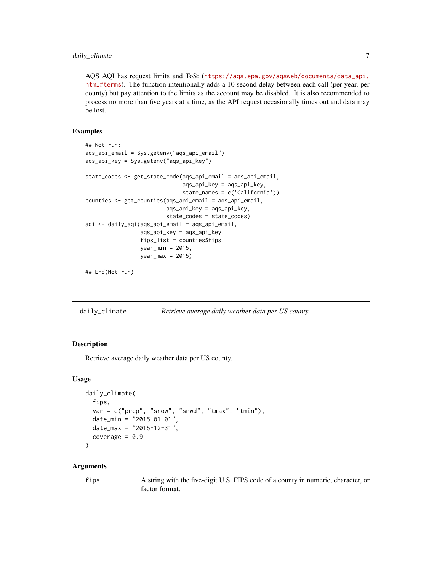<span id="page-6-0"></span>AQS AQI has request limits and ToS: ([https://aqs.epa.gov/aqsweb/documents/data\\_api.](https://aqs.epa.gov/aqsweb/documents/data_api.html#terms) [html#terms](https://aqs.epa.gov/aqsweb/documents/data_api.html#terms)). The function intentionally adds a 10 second delay between each call (per year, per county) but pay attention to the limits as the account may be disabled. It is also recommended to process no more than five years at a time, as the API request occasionally times out and data may be lost.

#### Examples

```
## Not run:
aqs_api_email = Sys.getenv("aqs_api_email")
aqs_api_key = Sys.getenv("aqs_api_key")
state_codes <- get_state_code(aqs_api_email = aqs_api_email,
                              aqs_api_key = aqs_api_key,
                              state_names = c('California'))
counties <- get_counties(aqs_api_email = aqs_api_email,
                         aqs_api_key = aqs_api_key,
                         state_codes = state_codes)
aqi <- daily_aqi(aqs_api_email = aqs_api_email,
                 aqs_api_key = aqs_api_key,
                 fips_list = counties$fips,
                 year_min = 2015,
                 year_max = 2015
```
## End(Not run)

| daily_climate | Retrieve average daily weather data per US county. |  |
|---------------|----------------------------------------------------|--|
|               |                                                    |  |

#### Description

Retrieve average daily weather data per US county.

#### Usage

```
daily_climate(
  fips,
  var = c("prcp", "snow", "snwd", "tmax", "tmin"),
  date_min = "2015-01-01",
 date_max = "2015-12-31",
  coverage = 0.9)
```
#### Arguments

fips A string with the five-digit U.S. FIPS code of a county in numeric, character, or factor format.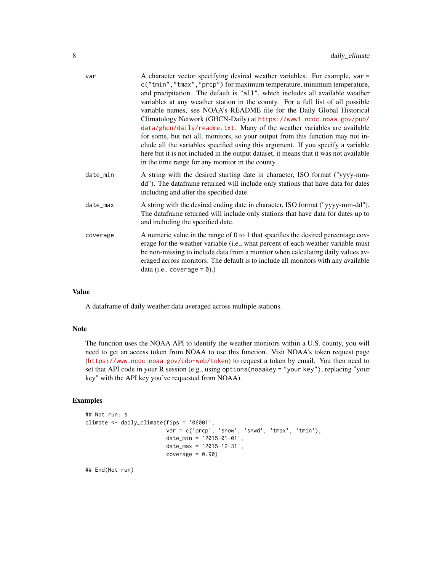| var      | A character vector specifying desired weather variables. For example, var =<br>c("tmin", "tmax", "prcp") for maximum temperature, minimum temperature,<br>and precipitation. The default is "all", which includes all available weather<br>variables at any weather station in the county. For a full list of all possible<br>variable names, see NOAA's README file for the Daily Global Historical<br>Climatology Network (GHCN-Daily) at https://www1.ncdc.noaa.gov/pub/<br>data/ghcn/daily/readme.txt. Many of the weather variables are available<br>for some, but not all, monitors, so your output from this function may not in-<br>clude all the variables specified using this argument. If you specify a variable<br>here but it is not included in the output dataset, it means that it was not available<br>in the time range for any monitor in the county. |
|----------|---------------------------------------------------------------------------------------------------------------------------------------------------------------------------------------------------------------------------------------------------------------------------------------------------------------------------------------------------------------------------------------------------------------------------------------------------------------------------------------------------------------------------------------------------------------------------------------------------------------------------------------------------------------------------------------------------------------------------------------------------------------------------------------------------------------------------------------------------------------------------|
| date_min | A string with the desired starting date in character, ISO format ("yyyy-mm-<br>dd"). The dataframe returned will include only stations that have data for dates<br>including and after the specified date.                                                                                                                                                                                                                                                                                                                                                                                                                                                                                                                                                                                                                                                                |
| date_max | A string with the desired ending date in character, ISO format ("yyyy-mm-dd").<br>The dataframe returned will include only stations that have data for dates up to<br>and including the specified date.                                                                                                                                                                                                                                                                                                                                                                                                                                                                                                                                                                                                                                                                   |
| coverage | A numeric value in the range of 0 to 1 that specifies the desired percentage cov-<br>erage for the weather variable (i.e., what percent of each weather variable must<br>be non-missing to include data from a monitor when calculating daily values av-<br>eraged across monitors. The default is to include all monitors with any available<br>data (i.e., coverage $= 0$ ).)                                                                                                                                                                                                                                                                                                                                                                                                                                                                                           |

#### Value

A dataframe of daily weather data averaged across multiple stations.

#### Note

The function uses the NOAA API to identify the weather monitors within a U.S. county, you will need to get an access token from NOAA to use this function. Visit NOAA's token request page (<https://www.ncdc.noaa.gov/cdo-web/token>) to request a token by email. You then need to set that API code in your R session (e.g., using options(noaakey = "your key"), replacing "your key" with the API key you've requested from NOAA).

#### Examples

```
## Not run: s
climate <- daily_climate(fips = '06001',
                         var = c('prcp', 'snow', 'snwd', 'tmax', 'tmin'),
                         date_min = '2015-01-01',
                        date_max = '2015-12-31',
                        coverage = 0.90
```
## End(Not run)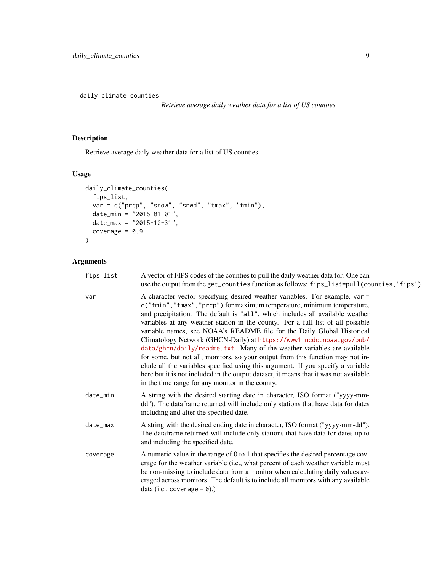<span id="page-8-0"></span>daily\_climate\_counties

*Retrieve average daily weather data for a list of US counties.*

#### Description

Retrieve average daily weather data for a list of US counties.

#### Usage

```
daily_climate_counties(
  fips_list,
  var = c("prcp", "snow", "snwd", "tmax", "tmin"),
  date_min = "2015-01-01",
  date_max = "2015-12-31",
  coverage = 0.9\mathcal{E}
```
#### Arguments

| A vector of FIPS codes of the counties to pull the daily weather data for. One can<br>use the output from the get_counties function as follows: fips_list=pull(counties, 'fips')                                                                                                                                                                                                                                                                                                                                                                                                                                                                                                                                                                                                                                                                                          |
|---------------------------------------------------------------------------------------------------------------------------------------------------------------------------------------------------------------------------------------------------------------------------------------------------------------------------------------------------------------------------------------------------------------------------------------------------------------------------------------------------------------------------------------------------------------------------------------------------------------------------------------------------------------------------------------------------------------------------------------------------------------------------------------------------------------------------------------------------------------------------|
| A character vector specifying desired weather variables. For example, var =<br>c("tmin", "tmax", "prcp") for maximum temperature, minimum temperature,<br>and precipitation. The default is "all", which includes all available weather<br>variables at any weather station in the county. For a full list of all possible<br>variable names, see NOAA's README file for the Daily Global Historical<br>Climatology Network (GHCN-Daily) at https://www1.ncdc.noaa.gov/pub/<br>data/ghcn/daily/readme.txt. Many of the weather variables are available<br>for some, but not all, monitors, so your output from this function may not in-<br>clude all the variables specified using this argument. If you specify a variable<br>here but it is not included in the output dataset, it means that it was not available<br>in the time range for any monitor in the county. |
| A string with the desired starting date in character, ISO format ("yyyy-mm-<br>dd"). The dataframe returned will include only stations that have data for dates<br>including and after the specified date.                                                                                                                                                                                                                                                                                                                                                                                                                                                                                                                                                                                                                                                                |
| A string with the desired ending date in character, ISO format ("yyyy-mm-dd").<br>The dataframe returned will include only stations that have data for dates up to<br>and including the specified date.                                                                                                                                                                                                                                                                                                                                                                                                                                                                                                                                                                                                                                                                   |
| A numeric value in the range of 0 to 1 that specifies the desired percentage cov-<br>erage for the weather variable (i.e., what percent of each weather variable must<br>be non-missing to include data from a monitor when calculating daily values av-<br>eraged across monitors. The default is to include all monitors with any available<br>data (i.e., coverage = $\theta$ ).)                                                                                                                                                                                                                                                                                                                                                                                                                                                                                      |
|                                                                                                                                                                                                                                                                                                                                                                                                                                                                                                                                                                                                                                                                                                                                                                                                                                                                           |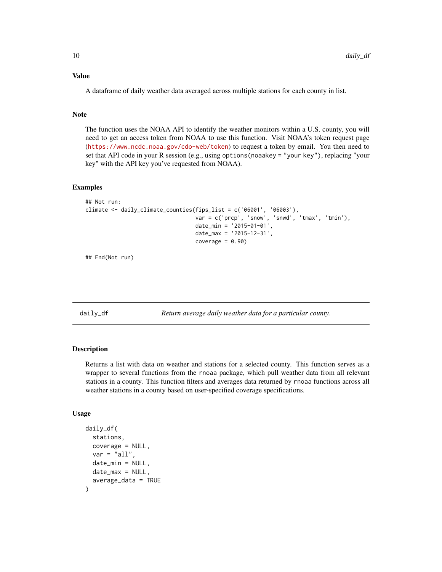#### <span id="page-9-0"></span>Value

A dataframe of daily weather data averaged across multiple stations for each county in list.

#### **Note**

The function uses the NOAA API to identify the weather monitors within a U.S. county, you will need to get an access token from NOAA to use this function. Visit NOAA's token request page (<https://www.ncdc.noaa.gov/cdo-web/token>) to request a token by email. You then need to set that API code in your R session (e.g., using options(noaakey = "your key"), replacing "your key" with the API key you've requested from NOAA).

#### Examples

```
## Not run:
climate <- daily_climate_counties(fips_list = c('06001', '06003'),
                                  var = c('prcp', 'snow', 'snwd', 'tmax', 'tmin'),
                                  date_min = '2015-01-01',
                                  date_max = '2015-12-31',
                                  coverage = 0.90)
```
## End(Not run)

daily\_df *Return average daily weather data for a particular county.*

#### **Description**

Returns a list with data on weather and stations for a selected county. This function serves as a wrapper to several functions from the rnoaa package, which pull weather data from all relevant stations in a county. This function filters and averages data returned by rnoaa functions across all weather stations in a county based on user-specified coverage specifications.

#### Usage

```
daily_df(
  stations,
  coverage = NULL,
  var = "all",date\_min = NULL,date\_max = NULL,average_data = TRUE
)
```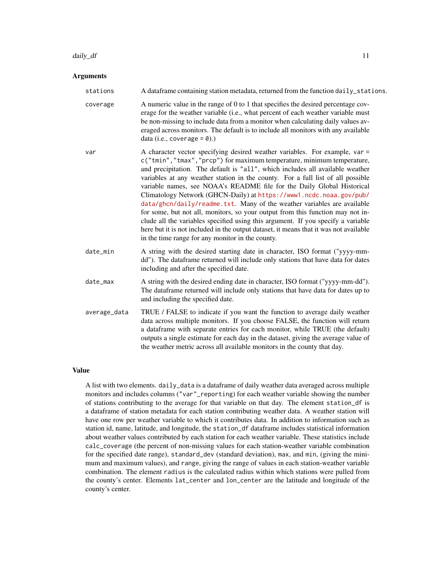#### Arguments

| stations     | A dataframe containing station metadata, returned from the function daily_stations.                                                                                                                                                                                                                                                                                                                                                                                                                                                                                                                                                                                                                                                                                                                                                                                       |
|--------------|---------------------------------------------------------------------------------------------------------------------------------------------------------------------------------------------------------------------------------------------------------------------------------------------------------------------------------------------------------------------------------------------------------------------------------------------------------------------------------------------------------------------------------------------------------------------------------------------------------------------------------------------------------------------------------------------------------------------------------------------------------------------------------------------------------------------------------------------------------------------------|
| coverage     | A numeric value in the range of 0 to 1 that specifies the desired percentage cov-<br>erage for the weather variable (i.e., what percent of each weather variable must<br>be non-missing to include data from a monitor when calculating daily values av-<br>eraged across monitors. The default is to include all monitors with any available<br>data (i.e., coverage = $\theta$ ).)                                                                                                                                                                                                                                                                                                                                                                                                                                                                                      |
| var          | A character vector specifying desired weather variables. For example, var =<br>c("tmin", "tmax", "prcp") for maximum temperature, minimum temperature,<br>and precipitation. The default is "all", which includes all available weather<br>variables at any weather station in the county. For a full list of all possible<br>variable names, see NOAA's README file for the Daily Global Historical<br>Climatology Network (GHCN-Daily) at https://www1.ncdc.noaa.gov/pub/<br>data/ghcn/daily/readme.txt. Many of the weather variables are available<br>for some, but not all, monitors, so your output from this function may not in-<br>clude all the variables specified using this argument. If you specify a variable<br>here but it is not included in the output dataset, it means that it was not available<br>in the time range for any monitor in the county. |
| date_min     | A string with the desired starting date in character, ISO format ("yyyy-mm-<br>dd"). The dataframe returned will include only stations that have data for dates<br>including and after the specified date.                                                                                                                                                                                                                                                                                                                                                                                                                                                                                                                                                                                                                                                                |
| date_max     | A string with the desired ending date in character, ISO format ("yyyy-mm-dd").<br>The dataframe returned will include only stations that have data for dates up to<br>and including the specified date.                                                                                                                                                                                                                                                                                                                                                                                                                                                                                                                                                                                                                                                                   |
| average_data | TRUE / FALSE to indicate if you want the function to average daily weather<br>data across multiple monitors. If you choose FALSE, the function will return<br>a dataframe with separate entries for each monitor, while TRUE (the default)<br>outputs a single estimate for each day in the dataset, giving the average value of<br>the weather metric across all available monitors in the county that day.                                                                                                                                                                                                                                                                                                                                                                                                                                                              |
|              |                                                                                                                                                                                                                                                                                                                                                                                                                                                                                                                                                                                                                                                                                                                                                                                                                                                                           |

#### Value

A list with two elements. daily\_data is a dataframe of daily weather data averaged across multiple monitors and includes columns ("var"\_reporting) for each weather variable showing the number of stations contributing to the average for that variable on that day. The element station\_df is a dataframe of station metadata for each station contributing weather data. A weather station will have one row per weather variable to which it contributes data. In addition to information such as station id, name, latitude, and longitude, the station\_df dataframe includes statistical information about weather values contributed by each station for each weather variable. These statistics include calc\_coverage (the percent of non-missing values for each station-weather variable combination for the specified date range), standard\_dev (standard deviation), max, and min, (giving the minimum and maximum values), and range, giving the range of values in each station-weather variable combination. The element radius is the calculated radius within which stations were pulled from the county's center. Elements lat\_center and lon\_center are the latitude and longitude of the county's center.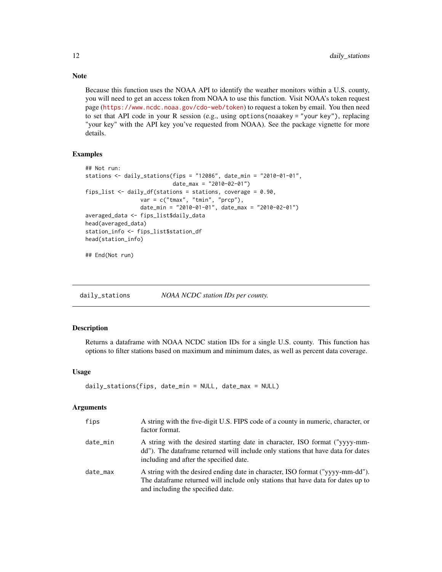Because this function uses the NOAA API to identify the weather monitors within a U.S. county, you will need to get an access token from NOAA to use this function. Visit NOAA's token request page (<https://www.ncdc.noaa.gov/cdo-web/token>) to request a token by email. You then need to set that API code in your R session (e.g., using options(noaakey = "your key"), replacing "your key" with the API key you've requested from NOAA). See the package vignette for more details.

#### Examples

```
## Not run:
stations <- daily_stations(fips = "12086", date_min = "2010-01-01",
                           date_max = "2010-02-01")
fips_list <- daily_df(stations = stations, coverage = 0.90,
                 var = c("tmax", "tmin", "prcp"),date_min = "2010-01-01", date_max = "2010-02-01")
averaged_data <- fips_list$daily_data
head(averaged_data)
station_info <- fips_list$station_df
head(station_info)
```
## End(Not run)

daily\_stations *NOAA NCDC station IDs per county.*

#### Description

Returns a dataframe with NOAA NCDC station IDs for a single U.S. county. This function has options to filter stations based on maximum and minimum dates, as well as percent data coverage.

#### Usage

```
daily_stations(fips, date_min = NULL, date_max = NULL)
```
#### Arguments

| fips     | A string with the five-digit U.S. FIPS code of a county in numeric, character, or<br>factor format.                                                                                                         |
|----------|-------------------------------------------------------------------------------------------------------------------------------------------------------------------------------------------------------------|
| date_min | A string with the desired starting date in character, ISO format ("yyyy-mm-<br>dd"). The data frame returned will include only stations that have data for dates<br>including and after the specified date. |
| date max | A string with the desired ending date in character, ISO format ("yyyy-mm-dd").<br>The data frame returned will include only stations that have data for dates up to<br>and including the specified date.    |

<span id="page-11-0"></span>

#### Note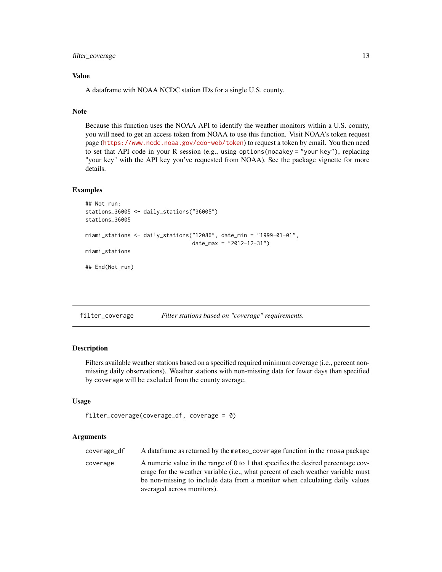<span id="page-12-0"></span>filter\_coverage 13

#### Value

A dataframe with NOAA NCDC station IDs for a single U.S. county.

#### Note

Because this function uses the NOAA API to identify the weather monitors within a U.S. county, you will need to get an access token from NOAA to use this function. Visit NOAA's token request page (<https://www.ncdc.noaa.gov/cdo-web/token>) to request a token by email. You then need to set that API code in your R session (e.g., using options(noaakey = "your key"), replacing "your key" with the API key you've requested from NOAA). See the package vignette for more details.

#### Examples

```
## Not run:
stations_36005 <- daily_stations("36005")
stations_36005
miami_stations <- daily_stations("12086", date_min = "1999-01-01",
                                 date_max = "2012-12-31")
miami_stations
## End(Not run)
```

| filter_coverage | Filter stations based on "coverage" requirements. |  |  |
|-----------------|---------------------------------------------------|--|--|
|-----------------|---------------------------------------------------|--|--|

#### Description

Filters available weather stations based on a specified required minimum coverage (i.e., percent nonmissing daily observations). Weather stations with non-missing data for fewer days than specified by coverage will be excluded from the county average.

#### Usage

```
filter_coverage(coverage_df, coverage = 0)
```
#### Arguments

| coverage_df | A dataframe as returned by the meteo_coverage function in the rnoaa package               |
|-------------|-------------------------------------------------------------------------------------------|
| coverage    | A numeric value in the range of 0 to 1 that specifies the desired percentage cov-         |
|             | erage for the weather variable ( <i>i.e.</i> , what percent of each weather variable must |

erage for the weather variable (i.e., what percent of each weather variable must be non-missing to include data from a monitor when calculating daily values averaged across monitors).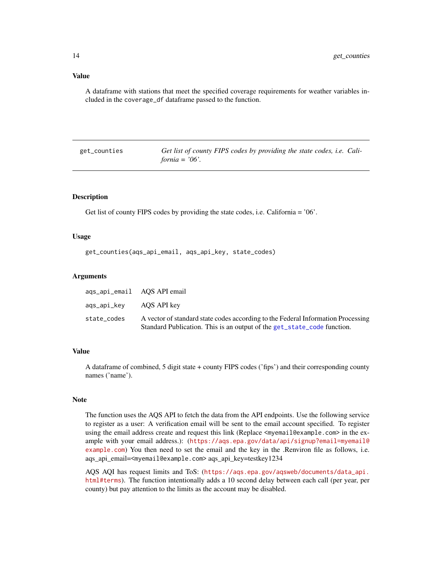#### <span id="page-13-0"></span>Value

A dataframe with stations that meet the specified coverage requirements for weather variables included in the coverage\_df dataframe passed to the function.

<span id="page-13-1"></span>get\_counties *Get list of county FIPS codes by providing the state codes, i.e. California = '06'.*

#### Description

Get list of county FIPS codes by providing the state codes, i.e. California = '06'.

#### Usage

```
get_counties(aqs_api_email, aqs_api_key, state_codes)
```
#### **Arguments**

|                         | ags_api_email AQS API email                                                                                                                                 |
|-------------------------|-------------------------------------------------------------------------------------------------------------------------------------------------------------|
| ags_api_key AOS API key |                                                                                                                                                             |
| state codes             | A vector of standard state codes according to the Federal Information Processing<br>Standard Publication. This is an output of the get_state_code function. |

#### Value

A dataframe of combined, 5 digit state + county FIPS codes ('fips') and their corresponding county names ('name').

#### Note

The function uses the AQS API to fetch the data from the API endpoints. Use the following service to register as a user: A verification email will be sent to the email account specified. To register using the email address create and request this link (Replace  $\leq m$  email@example.com> in the example with your email address.): ([https://aqs.epa.gov/data/api/signup?email=myemail@](https://aqs.epa.gov/data/api/signup?email=myemail@example.com) [example.com](https://aqs.epa.gov/data/api/signup?email=myemail@example.com)) You then need to set the email and the key in the .Renviron file as follows, i.e. aqs\_api\_email=<myemail@example.com> aqs\_api\_key=testkey1234

AQS AQI has request limits and ToS: ([https://aqs.epa.gov/aqsweb/documents/data\\_api.](https://aqs.epa.gov/aqsweb/documents/data_api.html#terms) [html#terms](https://aqs.epa.gov/aqsweb/documents/data_api.html#terms)). The function intentionally adds a 10 second delay between each call (per year, per county) but pay attention to the limits as the account may be disabled.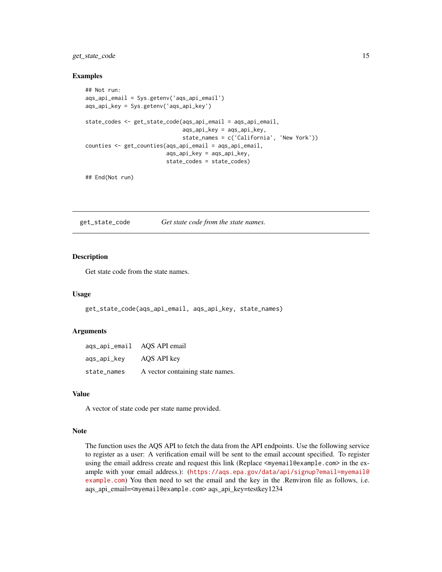#### <span id="page-14-0"></span>get\_state\_code 15

#### Examples

```
## Not run:
aqs_api_email = Sys.getenv('aqs_api_email')
aqs_api_key = Sys.getenv('aqs_api_key')
state_codes <- get_state_code(aqs_api_email = aqs_api_email,
                              aqs_api_key = aqs_api_key,
                              state_names = c('California', 'New York'))
counties <- get_counties(aqs_api_email = aqs_api_email,
                         aqs_api_key = aqs_api_key,
                         state_codes = state_codes)
```

```
## End(Not run)
```
<span id="page-14-1"></span>get\_state\_code *Get state code from the state names.*

#### Description

Get state code from the state names.

#### Usage

get\_state\_code(aqs\_api\_email, aqs\_api\_key, state\_names)

#### Arguments

| aqs_api_email AQS API email |                                  |
|-----------------------------|----------------------------------|
| ags_api_key                 | AQS API key                      |
| state_names                 | A vector containing state names. |

#### Value

A vector of state code per state name provided.

#### Note

The function uses the AQS API to fetch the data from the API endpoints. Use the following service to register as a user: A verification email will be sent to the email account specified. To register using the email address create and request this link (Replace  $\leq m$ ) email@example.com> in the example with your email address.): ([https://aqs.epa.gov/data/api/signup?email=myemail@](https://aqs.epa.gov/data/api/signup?email=myemail@example.com) [example.com](https://aqs.epa.gov/data/api/signup?email=myemail@example.com)) You then need to set the email and the key in the .Renviron file as follows, i.e. aqs\_api\_email=<myemail@example.com> aqs\_api\_key=testkey1234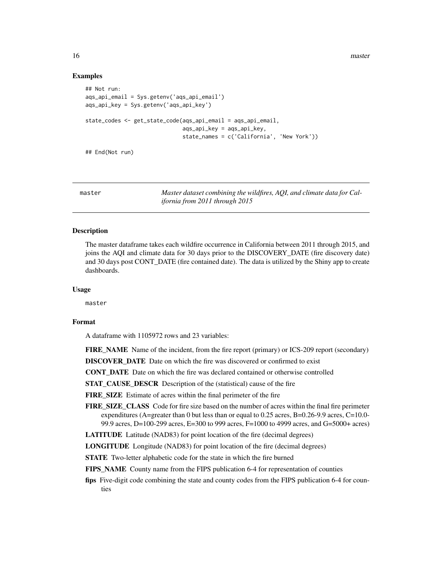<span id="page-15-0"></span>16 master

#### Examples

```
## Not run:
aqs_api_email = Sys.getenv('aqs_api_email')
aqs_api_key = Sys.getenv('aqs_api_key')
state_codes <- get_state_code(aqs_api_email = aqs_api_email,
                              aqs_api_key = aqs_api_key,
                              state_names = c('California', 'New York'))
## End(Not run)
```
master *Master dataset combining the wildfires, AQI, and climate data for California from 2011 through 2015*

#### **Description**

The master dataframe takes each wildfire occurrence in California between 2011 through 2015, and joins the AQI and climate data for 30 days prior to the DISCOVERY\_DATE (fire discovery date) and 30 days post CONT\_DATE (fire contained date). The data is utilized by the Shiny app to create dashboards.

#### Usage

master

#### Format

A dataframe with 1105972 rows and 23 variables:

FIRE\_NAME Name of the incident, from the fire report (primary) or ICS-209 report (secondary)

DISCOVER DATE Date on which the fire was discovered or confirmed to exist

CONT\_DATE Date on which the fire was declared contained or otherwise controlled

STAT\_CAUSE\_DESCR Description of the (statistical) cause of the fire

FIRE\_SIZE Estimate of acres within the final perimeter of the fire

FIRE\_SIZE\_CLASS Code for fire size based on the number of acres within the final fire perimeter expenditures (A=greater than 0 but less than or equal to 0.25 acres, B=0.26-9.9 acres, C=10.0- 99.9 acres, D=100-299 acres, E=300 to 999 acres, F=1000 to 4999 acres, and G=5000+ acres)

LATITUDE Latitude (NAD83) for point location of the fire (decimal degrees)

LONGITUDE Longitude (NAD83) for point location of the fire (decimal degrees)

STATE Two-letter alphabetic code for the state in which the fire burned

FIPS\_NAME County name from the FIPS publication 6-4 for representation of counties

fips Five-digit code combining the state and county codes from the FIPS publication 6-4 for counties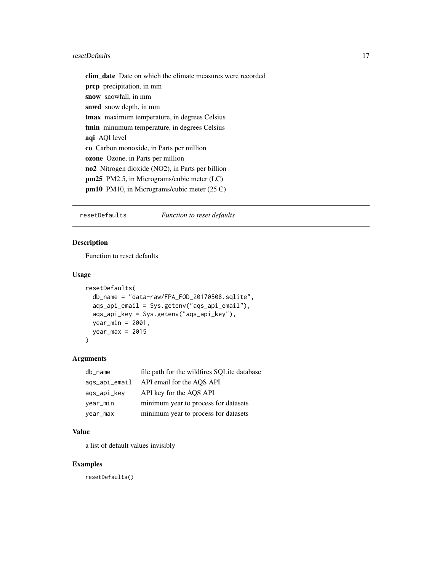#### <span id="page-16-0"></span>resetDefaults 17

clim\_date Date on which the climate measures were recorded prcp precipitation, in mm snow snowfall, in mm snwd snow depth, in mm tmax maximum temperature, in degrees Celsius tmin minumum temperature, in degrees Celsius aqi AQI level co Carbon monoxide, in Parts per million ozone Ozone, in Parts per million no2 Nitrogen dioxide (NO2), in Parts per billion pm25 PM2.5, in Micrograms/cubic meter (LC) pm10 PM10, in Micrograms/cubic meter (25 C)

resetDefaults *Function to reset defaults*

#### Description

Function to reset defaults

#### Usage

```
resetDefaults(
  db_name = "data-raw/FPA_FOD_20170508.sqlite",
  aqs_api_email = Sys.getenv("aqs_api_email"),
  aqs_api_key = Sys.getenv("aqs_api_key"),
 year_min = 2001,
 year_{max} = 2015)
```
#### Arguments

| db_name       | file path for the wildfires SQLite database |
|---------------|---------------------------------------------|
| ags_api_email | API email for the AOS API                   |
| ags_api_key   | API key for the AOS API                     |
| year_min      | minimum year to process for datasets        |
| year_max      | minimum year to process for datasets        |

#### Value

a list of default values invisibly

#### Examples

resetDefaults()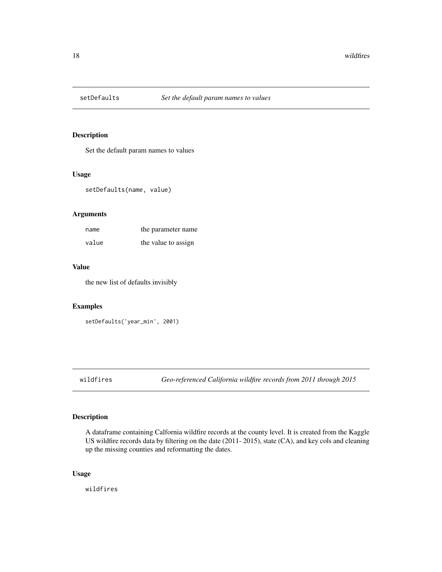<span id="page-17-0"></span>

#### Description

Set the default param names to values

#### Usage

setDefaults(name, value)

#### Arguments

| name  | the parameter name  |
|-------|---------------------|
| value | the value to assign |

#### Value

the new list of defaults invisibly

#### Examples

```
setDefaults('year_min', 2001)
```
wildfires *Geo-referenced California wildfire records from 2011 through 2015*

#### Description

A dataframe containing Calfornia wildfire records at the county level. It is created from the Kaggle US wildfire records data by filtering on the date (2011- 2015), state (CA), and key cols and cleaning up the missing counties and reformatting the dates.

#### Usage

wildfires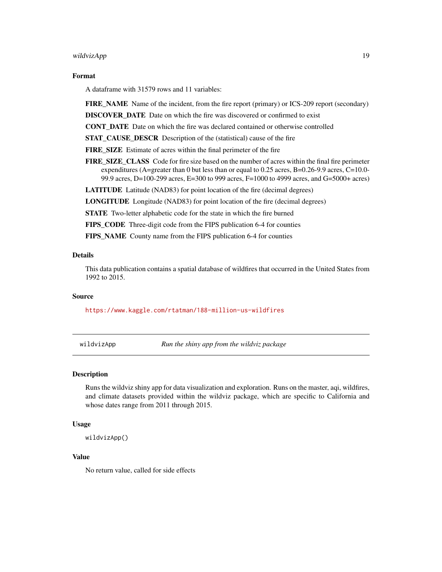#### <span id="page-18-0"></span>wildvizApp 19

#### Format

A dataframe with 31579 rows and 11 variables:

FIRE\_NAME Name of the incident, from the fire report (primary) or ICS-209 report (secondary)

DISCOVER\_DATE Date on which the fire was discovered or confirmed to exist

CONT\_DATE Date on which the fire was declared contained or otherwise controlled

STAT\_CAUSE\_DESCR Description of the (statistical) cause of the fire

FIRE\_SIZE Estimate of acres within the final perimeter of the fire

FIRE SIZE CLASS Code for fire size based on the number of acres within the final fire perimeter expenditures (A=greater than 0 but less than or equal to 0.25 acres, B=0.26-9.9 acres, C=10.0- 99.9 acres, D=100-299 acres, E=300 to 999 acres, F=1000 to 4999 acres, and G=5000+ acres)

LATITUDE Latitude (NAD83) for point location of the fire (decimal degrees)

LONGITUDE Longitude (NAD83) for point location of the fire (decimal degrees)

STATE Two-letter alphabetic code for the state in which the fire burned

FIPS\_CODE Three-digit code from the FIPS publication 6-4 for counties

FIPS NAME County name from the FIPS publication 6-4 for counties

#### Details

This data publication contains a spatial database of wildfires that occurred in the United States from 1992 to 2015.

#### Source

<https://www.kaggle.com/rtatman/188-million-us-wildfires>

wildvizApp *Run the shiny app from the wildviz package*

#### **Description**

Runs the wildviz shiny app for data visualization and exploration. Runs on the master, aqi, wildfires, and climate datasets provided within the wildviz package, which are specific to California and whose dates range from 2011 through 2015.

#### Usage

wildvizApp()

#### Value

No return value, called for side effects